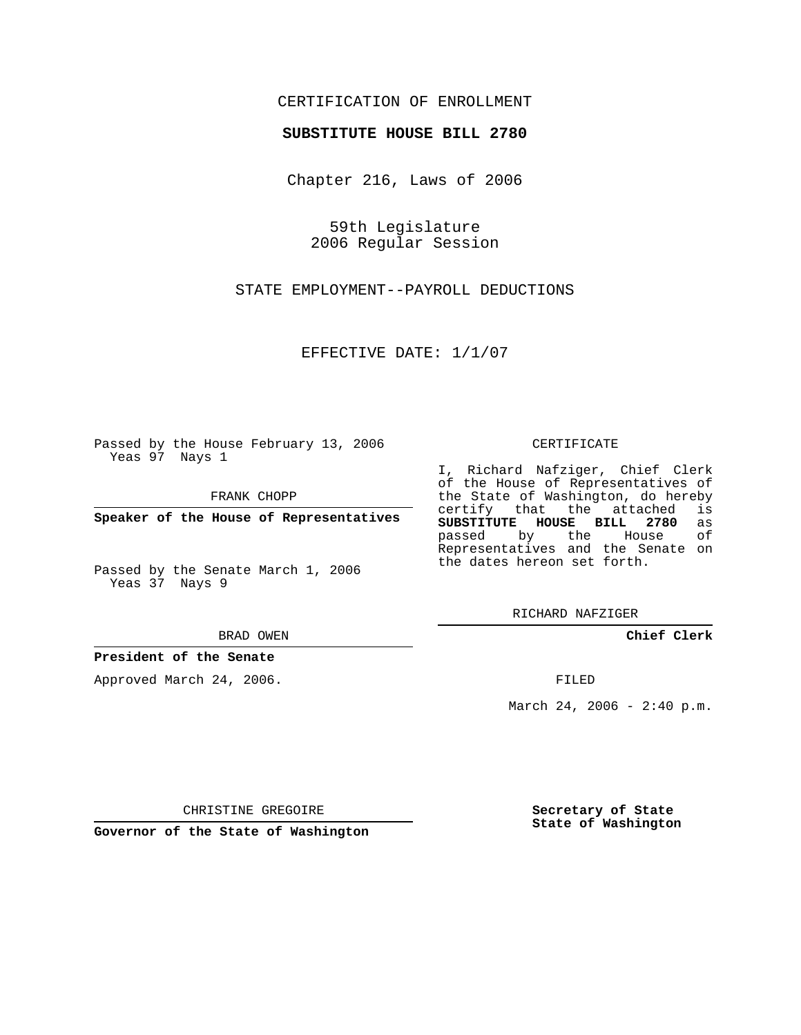## CERTIFICATION OF ENROLLMENT

### **SUBSTITUTE HOUSE BILL 2780**

Chapter 216, Laws of 2006

59th Legislature 2006 Regular Session

STATE EMPLOYMENT--PAYROLL DEDUCTIONS

EFFECTIVE DATE: 1/1/07

Passed by the House February 13, 2006 Yeas 97 Nays 1

FRANK CHOPP

**Speaker of the House of Representatives**

Passed by the Senate March 1, 2006 Yeas 37 Nays 9

#### BRAD OWEN

## **President of the Senate**

Approved March 24, 2006.

#### CERTIFICATE

I, Richard Nafziger, Chief Clerk of the House of Representatives of the State of Washington, do hereby<br>certify that the attached is certify that the attached **SUBSTITUTE HOUSE BILL 2780** as passed by the House Representatives and the Senate on the dates hereon set forth.

RICHARD NAFZIGER

**Chief Clerk**

FILED

March 24, 2006 -  $2:40 \text{ p.m.}$ 

CHRISTINE GREGOIRE

**Governor of the State of Washington**

**Secretary of State State of Washington**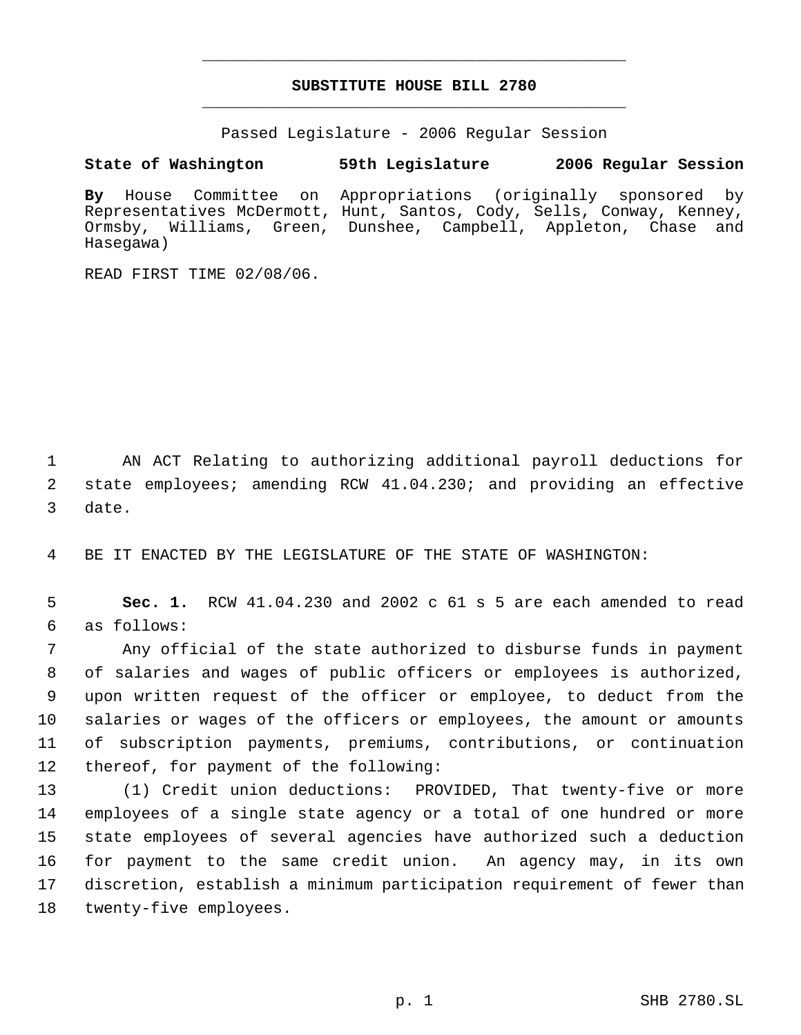# **SUBSTITUTE HOUSE BILL 2780** \_\_\_\_\_\_\_\_\_\_\_\_\_\_\_\_\_\_\_\_\_\_\_\_\_\_\_\_\_\_\_\_\_\_\_\_\_\_\_\_\_\_\_\_\_

\_\_\_\_\_\_\_\_\_\_\_\_\_\_\_\_\_\_\_\_\_\_\_\_\_\_\_\_\_\_\_\_\_\_\_\_\_\_\_\_\_\_\_\_\_

Passed Legislature - 2006 Regular Session

**State of Washington 59th Legislature 2006 Regular Session**

**By** House Committee on Appropriations (originally sponsored by Representatives McDermott, Hunt, Santos, Cody, Sells, Conway, Kenney, Ormsby, Williams, Green, Dunshee, Campbell, Appleton, Chase and Hasegawa)

READ FIRST TIME 02/08/06.

 AN ACT Relating to authorizing additional payroll deductions for state employees; amending RCW 41.04.230; and providing an effective date.

BE IT ENACTED BY THE LEGISLATURE OF THE STATE OF WASHINGTON:

 **Sec. 1.** RCW 41.04.230 and 2002 c 61 s 5 are each amended to read as follows:

 Any official of the state authorized to disburse funds in payment of salaries and wages of public officers or employees is authorized, upon written request of the officer or employee, to deduct from the salaries or wages of the officers or employees, the amount or amounts of subscription payments, premiums, contributions, or continuation thereof, for payment of the following:

 (1) Credit union deductions: PROVIDED, That twenty-five or more employees of a single state agency or a total of one hundred or more state employees of several agencies have authorized such a deduction for payment to the same credit union. An agency may, in its own discretion, establish a minimum participation requirement of fewer than twenty-five employees.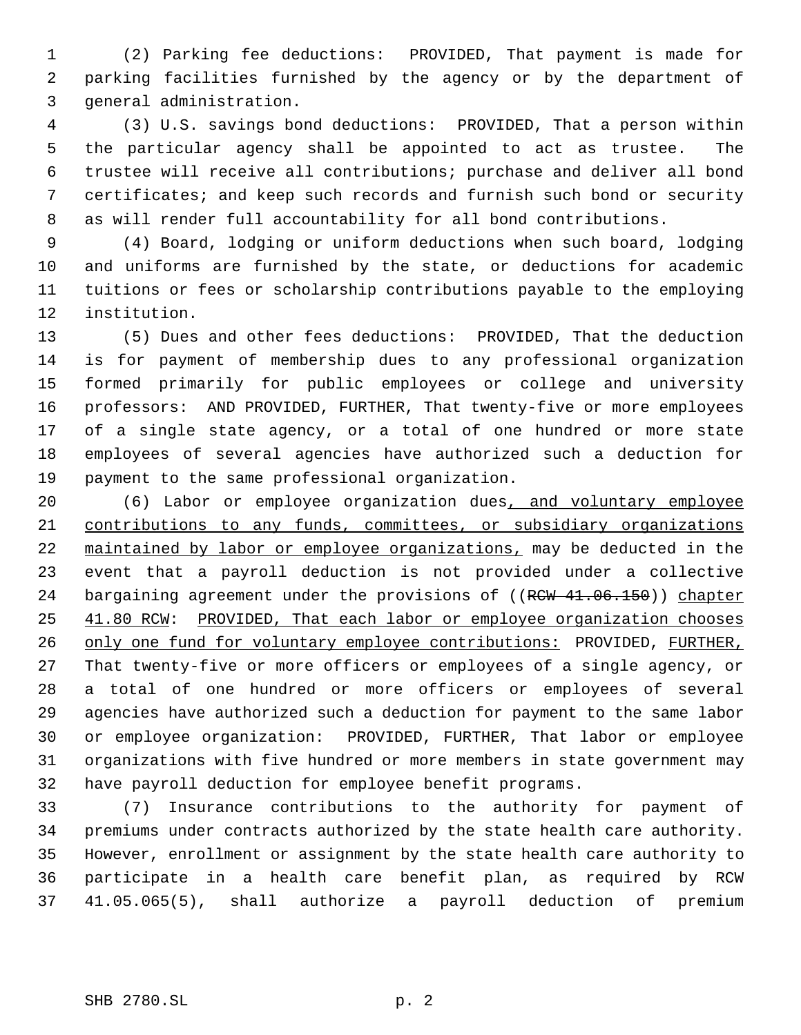(2) Parking fee deductions: PROVIDED, That payment is made for parking facilities furnished by the agency or by the department of general administration.

 (3) U.S. savings bond deductions: PROVIDED, That a person within the particular agency shall be appointed to act as trustee. The trustee will receive all contributions; purchase and deliver all bond certificates; and keep such records and furnish such bond or security as will render full accountability for all bond contributions.

 (4) Board, lodging or uniform deductions when such board, lodging and uniforms are furnished by the state, or deductions for academic tuitions or fees or scholarship contributions payable to the employing institution.

 (5) Dues and other fees deductions: PROVIDED, That the deduction is for payment of membership dues to any professional organization formed primarily for public employees or college and university professors: AND PROVIDED, FURTHER, That twenty-five or more employees of a single state agency, or a total of one hundred or more state employees of several agencies have authorized such a deduction for payment to the same professional organization.

 (6) Labor or employee organization dues, and voluntary employee contributions to any funds, committees, or subsidiary organizations maintained by labor or employee organizations, may be deducted in the event that a payroll deduction is not provided under a collective 24 bargaining agreement under the provisions of ((RCW 41.06.150)) chapter 41.80 RCW: PROVIDED, That each labor or employee organization chooses 26 only one fund for voluntary employee contributions: PROVIDED, FURTHER, That twenty-five or more officers or employees of a single agency, or a total of one hundred or more officers or employees of several agencies have authorized such a deduction for payment to the same labor or employee organization: PROVIDED, FURTHER, That labor or employee organizations with five hundred or more members in state government may have payroll deduction for employee benefit programs.

 (7) Insurance contributions to the authority for payment of premiums under contracts authorized by the state health care authority. However, enrollment or assignment by the state health care authority to participate in a health care benefit plan, as required by RCW 41.05.065(5), shall authorize a payroll deduction of premium